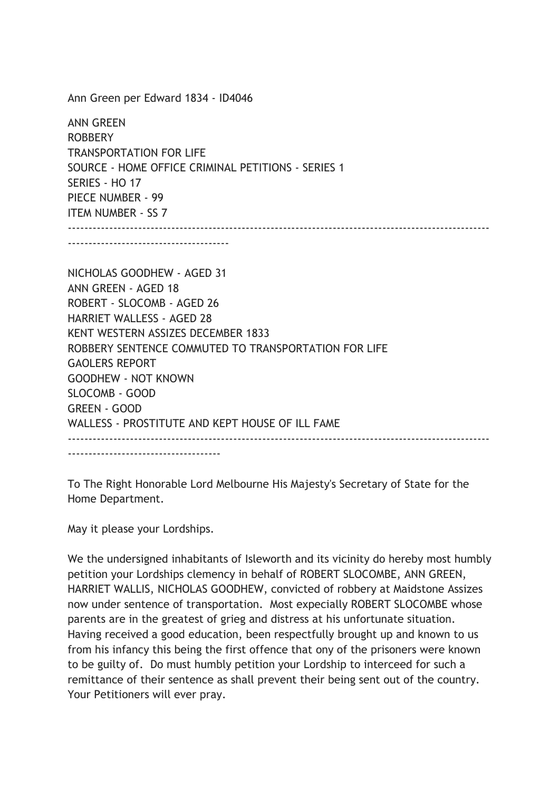Ann Green per Edward 1834 - ID4046

ANN GREEN ROBBERY TRANSPORTATION FOR LIFE SOURCE - HOME OFFICE CRIMINAL PETITIONS - SERIES 1 SERIES - HO 17 PIECE NUMBER - 99 ITEM NUMBER - SS 7 ------------------------------------------------------------------------------------------------------

---------------------------------------

NICHOLAS GOODHEW - AGED 31 ANN GREEN - AGED 18 ROBERT - SLOCOMB - AGED 26 HARRIET WALLESS - AGED 28 KENT WESTERN ASSIZES DECEMBER 1833 ROBBERY SENTENCE COMMUTED TO TRANSPORTATION FOR LIFE GAOLERS REPORT GOODHEW - NOT KNOWN SLOCOMB - GOOD GREEN - GOOD WALLESS - PROSTITUTE AND KEPT HOUSE OF ILL FAME ------------------------------------------------------------------------------------------------------ -------------------------------------

To The Right Honorable Lord Melbourne His Majesty's Secretary of State for the Home Department.

May it please your Lordships.

We the undersigned inhabitants of Isleworth and its vicinity do hereby most humbly petition your Lordships clemency in behalf of ROBERT SLOCOMBE, ANN GREEN, HARRIET WALLIS, NICHOLAS GOODHEW, convicted of robbery at Maidstone Assizes now under sentence of transportation. Most expecially ROBERT SLOCOMBE whose parents are in the greatest of grieg and distress at his unfortunate situation. Having received a good education, been respectfully brought up and known to us from his infancy this being the first offence that ony of the prisoners were known to be guilty of. Do must humbly petition your Lordship to interceed for such a remittance of their sentence as shall prevent their being sent out of the country. Your Petitioners will ever pray.